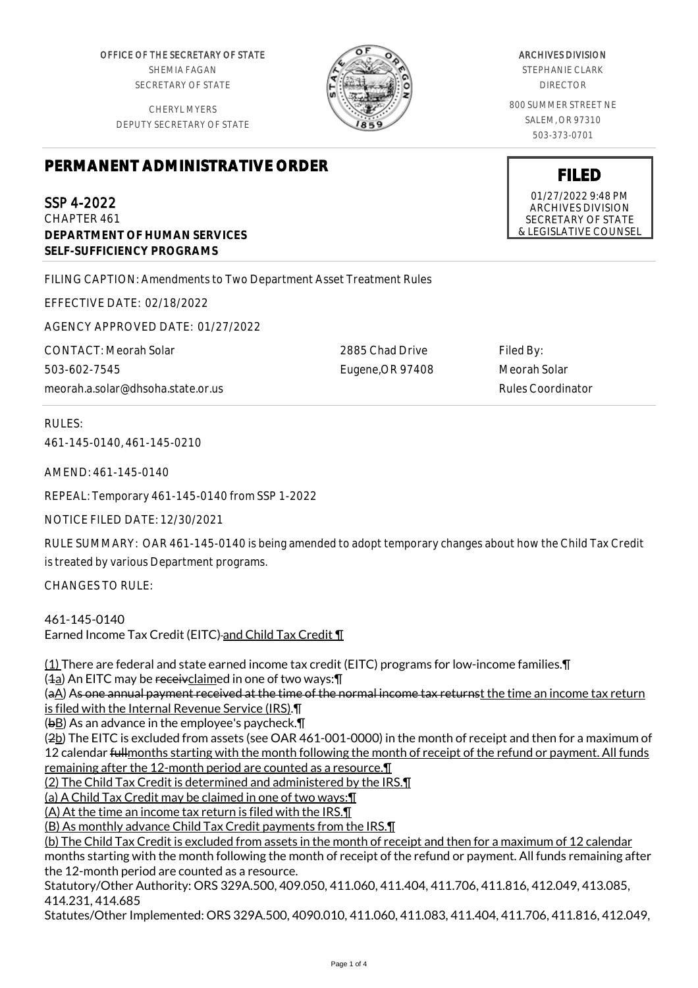OFFICE OF THE SECRETARY OF STATE SHEMIA FAGAN SECRETARY OF STATE

CHERYL MYERS DEPUTY SECRETARY OF STATE



2885 Chad Drive Eugene,OR 97408

## ARCHIVES DIVISION

STEPHANIE CLARK DIRECTOR

800 SUMMER STREET NE SALEM, OR 97310 503-373-0701

## **PERMANENT ADMINISTRATIVE ORDER**

SSP 4-2022

CHAPTER 461 **DEPARTMENT OF HUMAN SERVICES SELF-SUFFICIENCY PROGRAMS**

FILING CAPTION: Amendments to Two Department Asset Treatment Rules

EFFECTIVE DATE: 02/18/2022

AGENCY APPROVED DATE: 01/27/2022

CONTACT: Meorah Solar 503-602-7545 meorah.a.solar@dhsoha.state.or.us

RULES:

461-145-0140, 461-145-0210

AMEND: 461-145-0140

REPEAL: Temporary 461-145-0140 from SSP 1-2022

NOTICE FILED DATE: 12/30/2021

RULE SUMMARY: OAR 461-145-0140 is being amended to adopt temporary changes about how the Child Tax Credit is treated by various Department programs.

CHANGES TO RULE:

461-145-0140 Earned Income Tax Credit (EITC)-and Child Tax Credit \[

(1) There are federal and state earned income tax credit (EITC) programs for low-income families.¶  $(4a)$  An EITC may be receivclaimed in one of two ways:  $\P$ 

(aA) As one annual payment received at the time of the normal income tax returnst the time an income tax return is filed with the Internal Revenue Service (IRS).¶

 $(b)$  As an advance in the employee's paycheck. $\P$ 

(2b) The EITC is excluded from assets (see OAR 461-001-0000) in the month of receipt and then for a maximum of 12 calendar fullmonths starting with the month following the month of receipt of the refund or payment. All funds remaining after the 12-month period are counted as a resource.¶

(2) The Child Tax Credit is determined and administered by the IRS.¶

(a) A Child Tax Credit may be claimed in one of two ways:¶

(A) At the time an income tax return is filed with the IRS.¶

(B) As monthly advance Child Tax Credit payments from the IRS.¶

(b) The Child Tax Credit is excluded from assets in the month of receipt and then for a maximum of 12 calendar months starting with the month following the month of receipt of the refund or payment. All funds remaining after the 12-month period are counted as a resource.

Statutory/Other Authority: ORS 329A.500, 409.050, 411.060, 411.404, 411.706, 411.816, 412.049, 413.085, 414.231, 414.685

Statutes/Other Implemented: ORS 329A.500, 4090.010, 411.060, 411.083, 411.404, 411.706, 411.816, 412.049,

**FILED**

01/27/2022 9:48 PM ARCHIVES DIVISION SECRETARY OF STATE & LEGISLATIVE COUNSEL

Filed By: Meorah Solar Rules Coordinator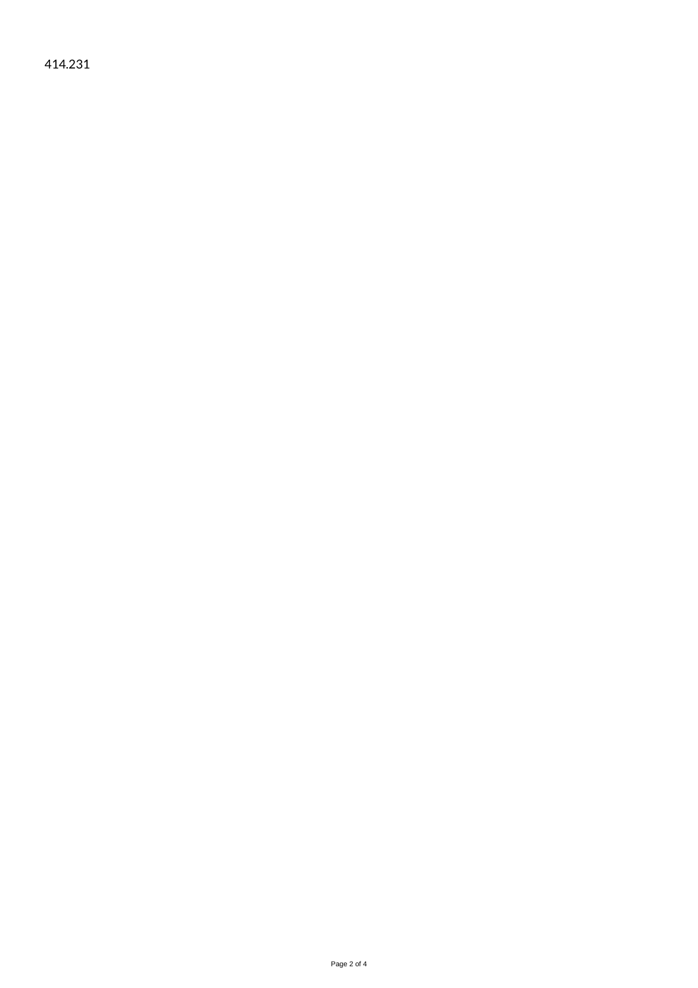414.231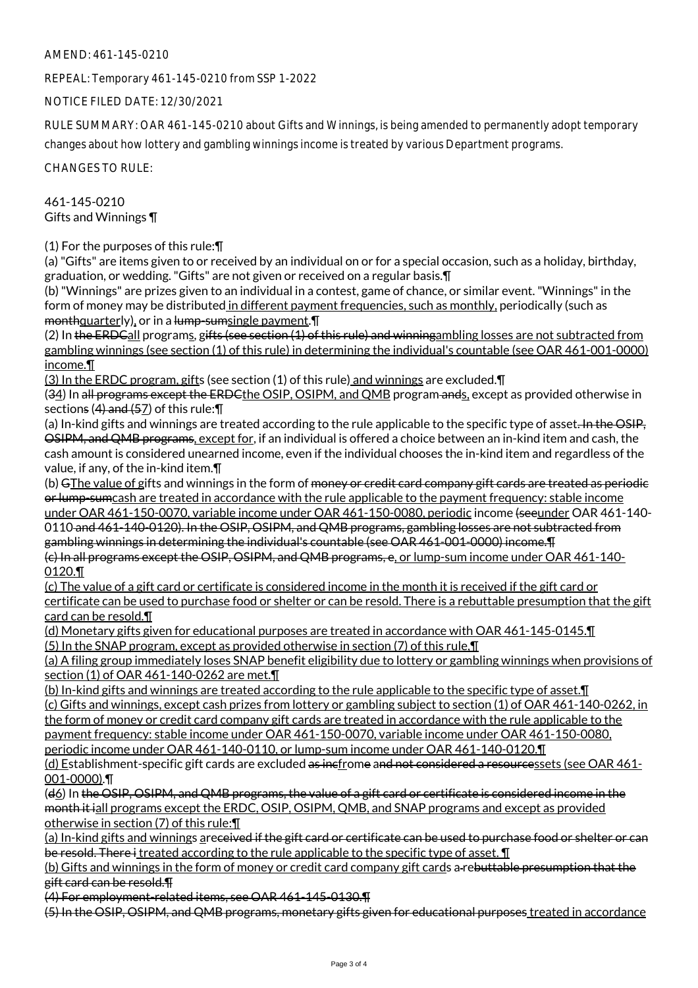## AMEND: 461-145-0210

REPEAL: Temporary 461-145-0210 from SSP 1-2022

NOTICE FILED DATE: 12/30/2021

RULE SUMMARY: OAR 461-145-0210 about Gifts and Winnings, is being amended to permanently adopt temporary changes about how lottery and gambling winnings income is treated by various Department programs.

CHANGES TO RULE:

461-145-0210 Gifts and Winnings ¶

(1) For the purposes of this rule:¶

(a) "Gifts" are items given to or received by an individual on or for a special occasion, such as a holiday, birthday, graduation, or wedding. "Gifts" are not given or received on a regular basis.¶

(b) "Winnings" are prizes given to an individual in a contest, game of chance, or similar event. "Winnings" in the form of money may be distributed in different payment frequencies, such as monthly, periodically (such as monthquarterly), or in a lump-sumsingle payment. T

(2) In the ERDCall programs, gifts (see section (1) of this rule) and winningambling losses are not subtracted from gambling winnings (see section (1) of this rule) in determining the individual's countable (see OAR 461-001-0000) income.¶

(3) In the ERDC program, gifts (see section (1) of this rule) and winnings are excluded.¶

(34) In all programs except the ERDC the OSIP, OSIPM, and OMB program ands, except as provided otherwise in sections (4) and (57) of this rule:¶

(a) In-kind gifts and winnings are treated according to the rule applicable to the specific type of asset. In the OSIP, OSIPM, and QMB programs, except for, if an individual is offered a choice between an in-kind item and cash, the cash amount is considered unearned income, even if the individual chooses the in-kind item and regardless of the value, if any, of the in-kind item.¶

(b) GThe value of gifts and winnings in the form of <del>money or credit card company gift cards are treated as periodic</del> or lump-sumcash are treated in accordance with the rule applicable to the payment frequency: stable income under OAR 461-150-0070, variable income under OAR 461-150-0080, periodic income (seeunder OAR 461-140- 0110 and 461-140-0120). In the OSIP, OSIPM, and QMB programs, gambling losses are not subtracted from

gambling winnings in determining the individual's countable (see OAR 461-001-0000) income.¶ (c) In all programs except the OSIP, OSIPM, and QMB programs, e, or lump-sum income under OAR 461-140- 0120.¶

(c) The value of a gift card or certificate is considered income in the month it is received if the gift card or certificate can be used to purchase food or shelter or can be resold. There is a rebuttable presumption that the gift card can be resold.¶

(d) Monetary gifts given for educational purposes are treated in accordance with OAR 461-145-0145.¶ (5) In the SNAP program, except as provided otherwise in section (7) of this rule,¶

(a) A filing group immediately loses SNAP benefit eligibility due to lottery or gambling winnings when provisions of section (1) of OAR 461-140-0262 are met.¶

(b) In-kind gifts and winnings are treated according to the rule applicable to the specific type of asset.¶

(c) Gifts and winnings, except cash prizes from lottery or gambling subject to section (1) of OAR 461-140-0262, in the form of money or credit card company gift cards are treated in accordance with the rule applicable to the

payment frequency: stable income under OAR 461-150-0070, variable income under OAR 461-150-0080, periodic income under OAR 461-140-0110, or lump-sum income under OAR 461-140-0120.¶

(d) Establishment-specific gift cards are excluded as incfrome and not considered a resourcessets (see OAR 461- 001-0000).¶

(d6) In the OSIP, OSIPM, and QMB programs, the value of a gift card or certificate is considered income in the month it iall programs except the ERDC, OSIP, OSIPM, QMB, and SNAP programs and except as provided otherwise in section (7) of this rule:¶

(a) In-kind gifts and winnings areceived if the gift card or certificate can be used to purchase food or shelter or can be resold. There i treated according to the rule applicable to the specific type of asset. **I** 

(b) Gifts and winnings in the form of money or credit card company gift cards a rebuttable presumption that the gift card can be resold.¶

(4) For employment-related items, see OAR 461-145-0130.¶

(5) In the OSIP, OSIPM, and QMB programs, monetary gifts given for educational purposes treated in accordance